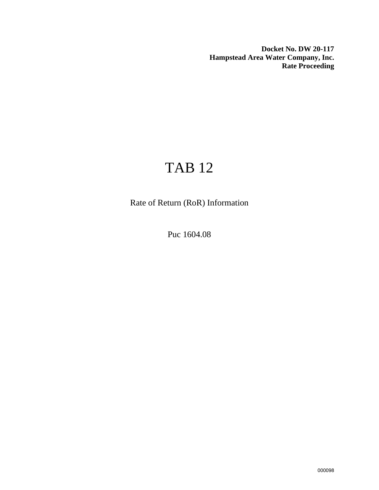**Docket No. DW 20-117 Hampstead Area Water Company, Inc. Rate Proceeding**

# TAB 12

Rate of Return (RoR) Information

Puc 1604.08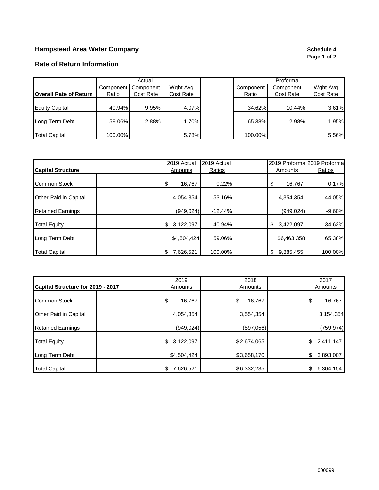## **Hampstead Area Water Company Company Company Schedule 4**

# **Page 1 of 2**

### **Rate of Return Information**

|                               | Actual    |           | Proforma  |           |           |           |
|-------------------------------|-----------|-----------|-----------|-----------|-----------|-----------|
|                               | Component | Component | Wght Avg  | Component | Component | Wght Avg  |
| <b>Overall Rate of Return</b> | Ratio     | Cost Rate | Cost Rate | Ratio     | Cost Rate | Cost Rate |
| <b>Equity Capital</b>         | 40.94%    | 9.95%     | 4.07%     | 34.62%    | 10.44%    | 3.61%     |
| Long Term Debt                | 59.06%    | 2.88%     | 1.70%     | 65.38%    | 2.98%     | 1.95%     |
| <b>Total Capital</b>          | 100.00%   |           | 5.78%     | 100.00%   |           | 5.56%     |

|                          | 2019 Actual     | 2019 Actual |                 | 2019 Proforma 2019 Proforma |
|--------------------------|-----------------|-------------|-----------------|-----------------------------|
| <b>Capital Structure</b> | Amounts         | Ratios      | Amounts         | Ratios                      |
| <b>Common Stock</b>      | \$<br>16,767    | 0.22%       | \$<br>16,767    | 0.17%                       |
| Other Paid in Capital    | 4,054,354       | 53.16%      | 4,354,354       | 44.05%                      |
| <b>Retained Earnings</b> | (949.024)       | $-12.44%$   | (949, 024)      | $-9.60%$                    |
| <b>Total Equity</b>      | 3,122,097<br>\$ | 40.94%      | 3,422,097<br>\$ | 34.62%                      |
| Long Term Debt           | \$4,504,424     | 59.06%      | \$6,463,358     | 65.38%                      |
| <b>Total Capital</b>     | 7,626,521<br>\$ | 100.00%     | \$<br>9,885,455 | 100.00%                     |

|                                   | 2019            | 2018         | 2017            |
|-----------------------------------|-----------------|--------------|-----------------|
| Capital Structure for 2019 - 2017 | Amounts         | Amounts      | Amounts         |
| <b>Common Stock</b>               | \$<br>16,767    | \$<br>16,767 | \$<br>16,767    |
| Other Paid in Capital             | 4,054,354       | 3,554,354    | 3,154,354       |
| <b>Retained Earnings</b>          | (949, 024)      | (897,056)    | (759, 974)      |
| <b>Total Equity</b>               | 3,122,097<br>\$ | \$2,674,065  | 2,411,147<br>\$ |
| Long Term Debt                    | \$4,504,424     | \$3,658,170  | \$<br>3,893,007 |
| <b>Total Capital</b>              | 7,626,521<br>\$ | \$6,332,235  | \$<br>6,304,154 |